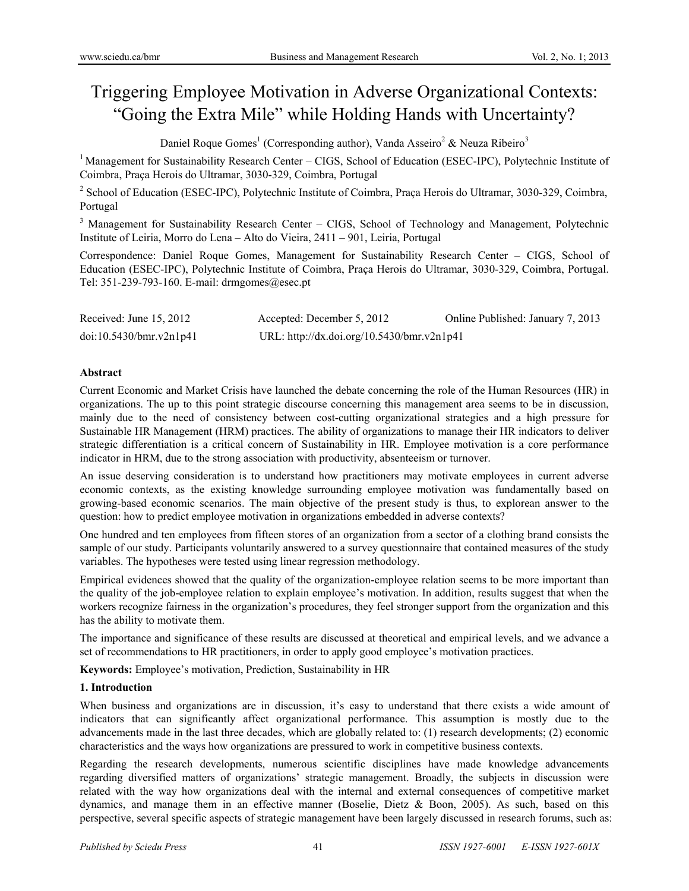# Triggering Employee Motivation in Adverse Organizational Contexts: "Going the Extra Mile" while Holding Hands with Uncertainty?

Daniel Roque Gomes<sup>1</sup> (Corresponding author), Vanda Asseiro<sup>2</sup> & Neuza Ribeiro<sup>3</sup>

<sup>1</sup> Management for Sustainability Research Center – CIGS, School of Education (ESEC-IPC), Polytechnic Institute of Coimbra, Praça Herois do Ultramar, 3030-329, Coimbra, Portugal

<sup>2</sup> School of Education (ESEC-IPC), Polytechnic Institute of Coimbra, Praça Herois do Ultramar, 3030-329, Coimbra, Portugal

<sup>3</sup> Management for Sustainability Research Center – CIGS, School of Technology and Management, Polytechnic Institute of Leiria, Morro do Lena – Alto do Vieira, 2411 – 901, Leiria, Portugal

Correspondence: Daniel Roque Gomes, Management for Sustainability Research Center – CIGS, School of Education (ESEC-IPC), Polytechnic Institute of Coimbra, Praça Herois do Ultramar, 3030-329, Coimbra, Portugal. Tel: 351-239-793-160. E-mail: drmgomes@esec.pt

| Received: June 15, 2012 | Accepted: December 5, 2012                 | Online Published: January 7, 2013 |
|-------------------------|--------------------------------------------|-----------------------------------|
| doi:10.5430/bmr.v2n1p41 | URL: http://dx.doi.org/10.5430/bmr.v2n1p41 |                                   |

## **Abstract**

Current Economic and Market Crisis have launched the debate concerning the role of the Human Resources (HR) in organizations. The up to this point strategic discourse concerning this management area seems to be in discussion, mainly due to the need of consistency between cost-cutting organizational strategies and a high pressure for Sustainable HR Management (HRM) practices. The ability of organizations to manage their HR indicators to deliver strategic differentiation is a critical concern of Sustainability in HR. Employee motivation is a core performance indicator in HRM, due to the strong association with productivity, absenteeism or turnover.

An issue deserving consideration is to understand how practitioners may motivate employees in current adverse economic contexts, as the existing knowledge surrounding employee motivation was fundamentally based on growing-based economic scenarios. The main objective of the present study is thus, to explorean answer to the question: how to predict employee motivation in organizations embedded in adverse contexts?

One hundred and ten employees from fifteen stores of an organization from a sector of a clothing brand consists the sample of our study. Participants voluntarily answered to a survey questionnaire that contained measures of the study variables. The hypotheses were tested using linear regression methodology.

Empirical evidences showed that the quality of the organization-employee relation seems to be more important than the quality of the job-employee relation to explain employee's motivation. In addition, results suggest that when the workers recognize fairness in the organization's procedures, they feel stronger support from the organization and this has the ability to motivate them.

The importance and significance of these results are discussed at theoretical and empirical levels, and we advance a set of recommendations to HR practitioners, in order to apply good employee's motivation practices.

**Keywords:** Employee's motivation, Prediction, Sustainability in HR

## **1. Introduction**

When business and organizations are in discussion, it's easy to understand that there exists a wide amount of indicators that can significantly affect organizational performance. This assumption is mostly due to the advancements made in the last three decades, which are globally related to: (1) research developments; (2) economic characteristics and the ways how organizations are pressured to work in competitive business contexts.

Regarding the research developments, numerous scientific disciplines have made knowledge advancements regarding diversified matters of organizations' strategic management. Broadly, the subjects in discussion were related with the way how organizations deal with the internal and external consequences of competitive market dynamics, and manage them in an effective manner (Boselie, Dietz & Boon, 2005). As such, based on this perspective, several specific aspects of strategic management have been largely discussed in research forums, such as: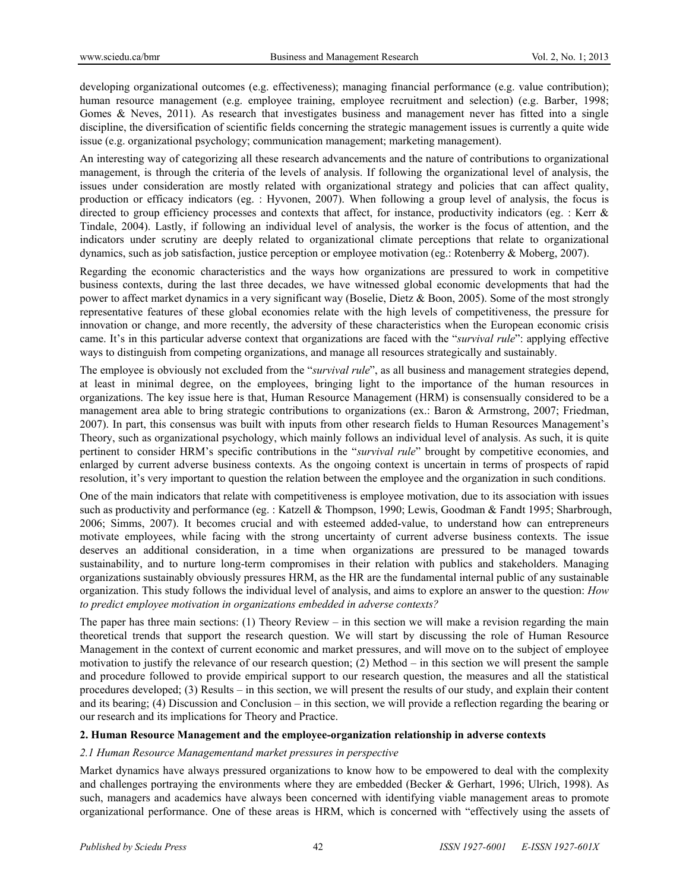developing organizational outcomes (e.g. effectiveness); managing financial performance (e.g. value contribution); human resource management (e.g. employee training, employee recruitment and selection) (e.g. Barber, 1998; Gomes & Neves, 2011). As research that investigates business and management never has fitted into a single discipline, the diversification of scientific fields concerning the strategic management issues is currently a quite wide issue (e.g. organizational psychology; communication management; marketing management).

An interesting way of categorizing all these research advancements and the nature of contributions to organizational management, is through the criteria of the levels of analysis. If following the organizational level of analysis, the issues under consideration are mostly related with organizational strategy and policies that can affect quality, production or efficacy indicators (eg. : Hyvonen, 2007). When following a group level of analysis, the focus is directed to group efficiency processes and contexts that affect, for instance, productivity indicators (eg. : Kerr & Tindale, 2004). Lastly, if following an individual level of analysis, the worker is the focus of attention, and the indicators under scrutiny are deeply related to organizational climate perceptions that relate to organizational dynamics, such as job satisfaction, justice perception or employee motivation (eg.: Rotenberry & Moberg, 2007).

Regarding the economic characteristics and the ways how organizations are pressured to work in competitive business contexts, during the last three decades, we have witnessed global economic developments that had the power to affect market dynamics in a very significant way (Boselie, Dietz & Boon, 2005). Some of the most strongly representative features of these global economies relate with the high levels of competitiveness, the pressure for innovation or change, and more recently, the adversity of these characteristics when the European economic crisis came. It's in this particular adverse context that organizations are faced with the "*survival rule*": applying effective ways to distinguish from competing organizations, and manage all resources strategically and sustainably.

The employee is obviously not excluded from the "*survival rule*", as all business and management strategies depend, at least in minimal degree, on the employees, bringing light to the importance of the human resources in organizations. The key issue here is that, Human Resource Management (HRM) is consensually considered to be a management area able to bring strategic contributions to organizations (ex.: Baron & Armstrong, 2007; Friedman, 2007). In part, this consensus was built with inputs from other research fields to Human Resources Management's Theory, such as organizational psychology, which mainly follows an individual level of analysis. As such, it is quite pertinent to consider HRM's specific contributions in the "*survival rule*" brought by competitive economies, and enlarged by current adverse business contexts. As the ongoing context is uncertain in terms of prospects of rapid resolution, it's very important to question the relation between the employee and the organization in such conditions.

One of the main indicators that relate with competitiveness is employee motivation, due to its association with issues such as productivity and performance (eg. : Katzell & Thompson, 1990; Lewis, Goodman & Fandt 1995; Sharbrough, 2006; Simms, 2007). It becomes crucial and with esteemed added-value, to understand how can entrepreneurs motivate employees, while facing with the strong uncertainty of current adverse business contexts. The issue deserves an additional consideration, in a time when organizations are pressured to be managed towards sustainability, and to nurture long-term compromises in their relation with publics and stakeholders. Managing organizations sustainably obviously pressures HRM, as the HR are the fundamental internal public of any sustainable organization. This study follows the individual level of analysis, and aims to explore an answer to the question: *How to predict employee motivation in organizations embedded in adverse contexts?* 

The paper has three main sections: (1) Theory Review – in this section we will make a revision regarding the main theoretical trends that support the research question. We will start by discussing the role of Human Resource Management in the context of current economic and market pressures, and will move on to the subject of employee motivation to justify the relevance of our research question; (2) Method – in this section we will present the sample and procedure followed to provide empirical support to our research question, the measures and all the statistical procedures developed; (3) Results – in this section, we will present the results of our study, and explain their content and its bearing; (4) Discussion and Conclusion – in this section, we will provide a reflection regarding the bearing or our research and its implications for Theory and Practice.

## **2. Human Resource Management and the employee-organization relationship in adverse contexts**

## *2.1 Human Resource Managementand market pressures in perspective*

Market dynamics have always pressured organizations to know how to be empowered to deal with the complexity and challenges portraying the environments where they are embedded (Becker & Gerhart, 1996; Ulrich, 1998). As such, managers and academics have always been concerned with identifying viable management areas to promote organizational performance. One of these areas is HRM, which is concerned with "effectively using the assets of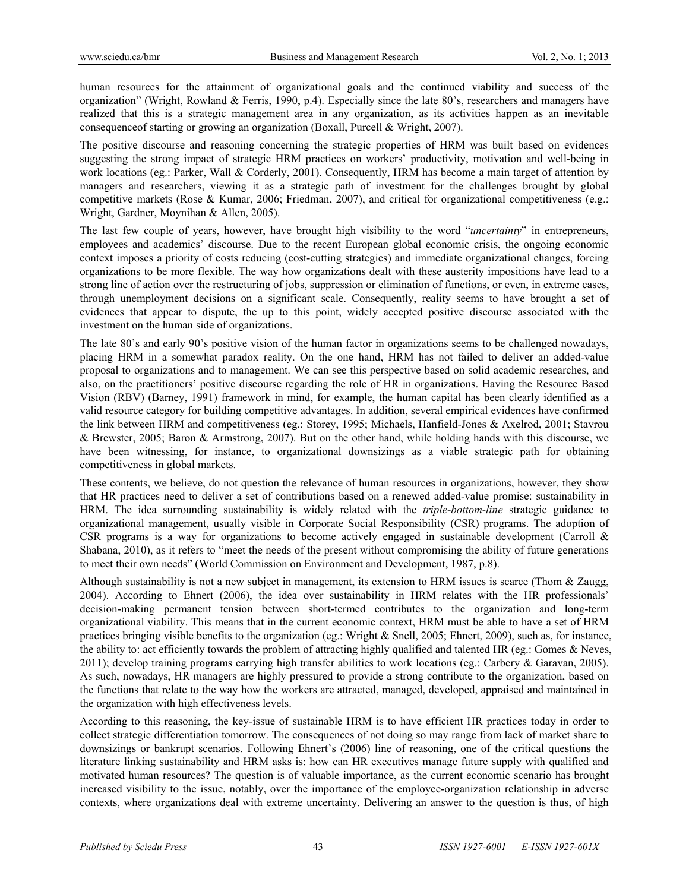human resources for the attainment of organizational goals and the continued viability and success of the organization" (Wright, Rowland & Ferris, 1990, p.4). Especially since the late 80's, researchers and managers have realized that this is a strategic management area in any organization, as its activities happen as an inevitable consequenceof starting or growing an organization (Boxall, Purcell & Wright, 2007).

The positive discourse and reasoning concerning the strategic properties of HRM was built based on evidences suggesting the strong impact of strategic HRM practices on workers' productivity, motivation and well-being in work locations (eg.: Parker, Wall & Corderly, 2001). Consequently, HRM has become a main target of attention by managers and researchers, viewing it as a strategic path of investment for the challenges brought by global competitive markets (Rose & Kumar, 2006; Friedman, 2007), and critical for organizational competitiveness (e.g.: Wright, Gardner, Moynihan & Allen, 2005).

The last few couple of years, however, have brought high visibility to the word "*uncertainty*" in entrepreneurs, employees and academics' discourse. Due to the recent European global economic crisis, the ongoing economic context imposes a priority of costs reducing (cost-cutting strategies) and immediate organizational changes, forcing organizations to be more flexible. The way how organizations dealt with these austerity impositions have lead to a strong line of action over the restructuring of jobs, suppression or elimination of functions, or even, in extreme cases, through unemployment decisions on a significant scale. Consequently, reality seems to have brought a set of evidences that appear to dispute, the up to this point, widely accepted positive discourse associated with the investment on the human side of organizations.

The late 80's and early 90's positive vision of the human factor in organizations seems to be challenged nowadays, placing HRM in a somewhat paradox reality. On the one hand, HRM has not failed to deliver an added-value proposal to organizations and to management. We can see this perspective based on solid academic researches, and also, on the practitioners' positive discourse regarding the role of HR in organizations. Having the Resource Based Vision (RBV) (Barney, 1991) framework in mind, for example, the human capital has been clearly identified as a valid resource category for building competitive advantages. In addition, several empirical evidences have confirmed the link between HRM and competitiveness (eg.: Storey, 1995; Michaels, Hanfield-Jones & Axelrod, 2001; Stavrou & Brewster, 2005; Baron & Armstrong, 2007). But on the other hand, while holding hands with this discourse, we have been witnessing, for instance, to organizational downsizings as a viable strategic path for obtaining competitiveness in global markets.

These contents, we believe, do not question the relevance of human resources in organizations, however, they show that HR practices need to deliver a set of contributions based on a renewed added-value promise: sustainability in HRM. The idea surrounding sustainability is widely related with the *triple-bottom-line* strategic guidance to organizational management, usually visible in Corporate Social Responsibility (CSR) programs. The adoption of CSR programs is a way for organizations to become actively engaged in sustainable development (Carroll  $\&$ Shabana, 2010), as it refers to "meet the needs of the present without compromising the ability of future generations to meet their own needs" (World Commission on Environment and Development, 1987, p.8).

Although sustainability is not a new subject in management, its extension to HRM issues is scarce (Thom & Zaugg, 2004). According to Ehnert (2006), the idea over sustainability in HRM relates with the HR professionals' decision-making permanent tension between short-termed contributes to the organization and long-term organizational viability. This means that in the current economic context, HRM must be able to have a set of HRM practices bringing visible benefits to the organization (eg.: Wright & Snell, 2005; Ehnert, 2009), such as, for instance, the ability to: act efficiently towards the problem of attracting highly qualified and talented HR (eg.: Gomes & Neves, 2011); develop training programs carrying high transfer abilities to work locations (eg.: Carbery & Garavan, 2005). As such, nowadays, HR managers are highly pressured to provide a strong contribute to the organization, based on the functions that relate to the way how the workers are attracted, managed, developed, appraised and maintained in the organization with high effectiveness levels.

According to this reasoning, the key-issue of sustainable HRM is to have efficient HR practices today in order to collect strategic differentiation tomorrow. The consequences of not doing so may range from lack of market share to downsizings or bankrupt scenarios. Following Ehnert's (2006) line of reasoning, one of the critical questions the literature linking sustainability and HRM asks is: how can HR executives manage future supply with qualified and motivated human resources? The question is of valuable importance, as the current economic scenario has brought increased visibility to the issue, notably, over the importance of the employee-organization relationship in adverse contexts, where organizations deal with extreme uncertainty. Delivering an answer to the question is thus, of high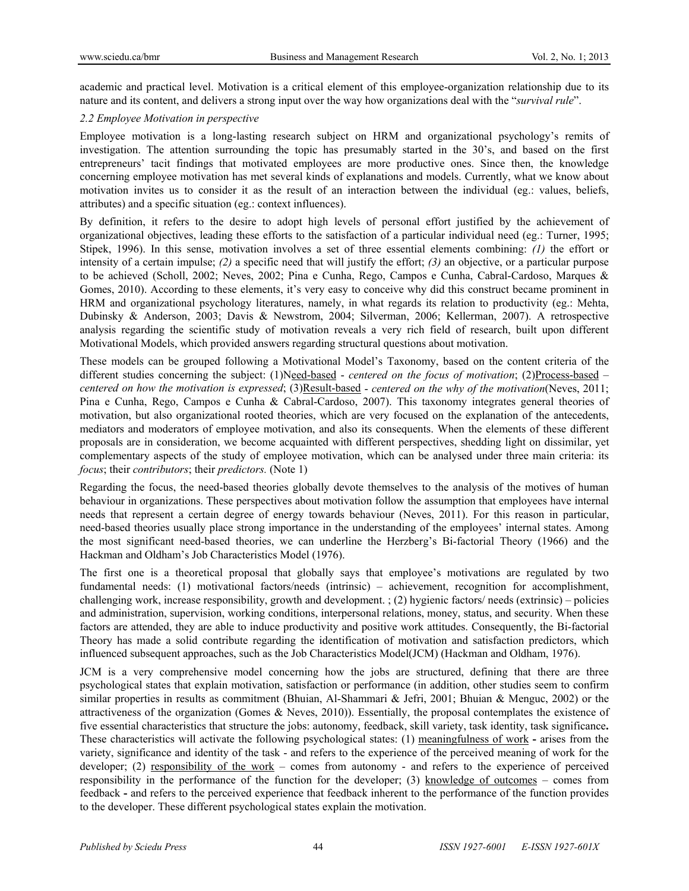academic and practical level. Motivation is a critical element of this employee-organization relationship due to its nature and its content, and delivers a strong input over the way how organizations deal with the "*survival rule*".

#### *2.2 Employee Motivation in perspective*

Employee motivation is a long-lasting research subject on HRM and organizational psychology's remits of investigation. The attention surrounding the topic has presumably started in the 30's, and based on the first entrepreneurs' tacit findings that motivated employees are more productive ones. Since then, the knowledge concerning employee motivation has met several kinds of explanations and models. Currently, what we know about motivation invites us to consider it as the result of an interaction between the individual (eg.: values, beliefs, attributes) and a specific situation (eg.: context influences).

By definition, it refers to the desire to adopt high levels of personal effort justified by the achievement of organizational objectives, leading these efforts to the satisfaction of a particular individual need (eg.: Turner, 1995; Stipek, 1996). In this sense, motivation involves a set of three essential elements combining: *(1)* the effort or intensity of a certain impulse; *(2)* a specific need that will justify the effort; *(3)* an objective, or a particular purpose to be achieved (Scholl, 2002; Neves, 2002; Pina e Cunha, Rego, Campos e Cunha, Cabral-Cardoso, Marques & Gomes, 2010). According to these elements, it's very easy to conceive why did this construct became prominent in HRM and organizational psychology literatures, namely, in what regards its relation to productivity (eg.: Mehta, Dubinsky & Anderson, 2003; Davis & Newstrom, 2004; Silverman, 2006; Kellerman, 2007). A retrospective analysis regarding the scientific study of motivation reveals a very rich field of research, built upon different Motivational Models, which provided answers regarding structural questions about motivation.

These models can be grouped following a Motivational Model's Taxonomy, based on the content criteria of the different studies concerning the subject: (1)Need-based - *centered on the focus of motivation*; (2)Process-based – *centered on how the motivation is expressed*; (3)Result-based - *centered on the why of the motivation*(Neves, 2011; Pina e Cunha, Rego, Campos e Cunha & Cabral-Cardoso, 2007). This taxonomy integrates general theories of motivation, but also organizational rooted theories, which are very focused on the explanation of the antecedents, mediators and moderators of employee motivation, and also its consequents. When the elements of these different proposals are in consideration, we become acquainted with different perspectives, shedding light on dissimilar, yet complementary aspects of the study of employee motivation, which can be analysed under three main criteria: its *focus*; their *contributors*; their *predictors.* (Note 1)

Regarding the focus, the need-based theories globally devote themselves to the analysis of the motives of human behaviour in organizations. These perspectives about motivation follow the assumption that employees have internal needs that represent a certain degree of energy towards behaviour (Neves, 2011). For this reason in particular, need-based theories usually place strong importance in the understanding of the employees' internal states. Among the most significant need-based theories, we can underline the Herzberg's Bi-factorial Theory (1966) and the Hackman and Oldham's Job Characteristics Model (1976).

The first one is a theoretical proposal that globally says that employee's motivations are regulated by two fundamental needs: (1) motivational factors/needs (intrinsic) – achievement, recognition for accomplishment, challenging work, increase responsibility, growth and development. ; (2) hygienic factors/ needs (extrinsic) – policies and administration, supervision, working conditions, interpersonal relations, money, status, and security. When these factors are attended, they are able to induce productivity and positive work attitudes. Consequently, the Bi-factorial Theory has made a solid contribute regarding the identification of motivation and satisfaction predictors, which influenced subsequent approaches, such as the Job Characteristics Model(JCM) (Hackman and Oldham, 1976).

JCM is a very comprehensive model concerning how the jobs are structured, defining that there are three psychological states that explain motivation, satisfaction or performance (in addition, other studies seem to confirm similar properties in results as commitment (Bhuian, Al-Shammari & Jefri, 2001; Bhuian & Menguc, 2002) or the attractiveness of the organization (Gomes & Neves, 2010)). Essentially, the proposal contemplates the existence of five essential characteristics that structure the jobs: autonomy, feedback, skill variety, task identity, task significance**.**  These characteristics will activate the following psychological states: (1) meaningfulness of work **-** arises from the variety, significance and identity of the task - and refers to the experience of the perceived meaning of work for the developer; (2) responsibility of the work – comes from autonomy - and refers to the experience of perceived responsibility in the performance of the function for the developer; (3) knowledge of outcomes – comes from feedback **-** and refers to the perceived experience that feedback inherent to the performance of the function provides to the developer. These different psychological states explain the motivation.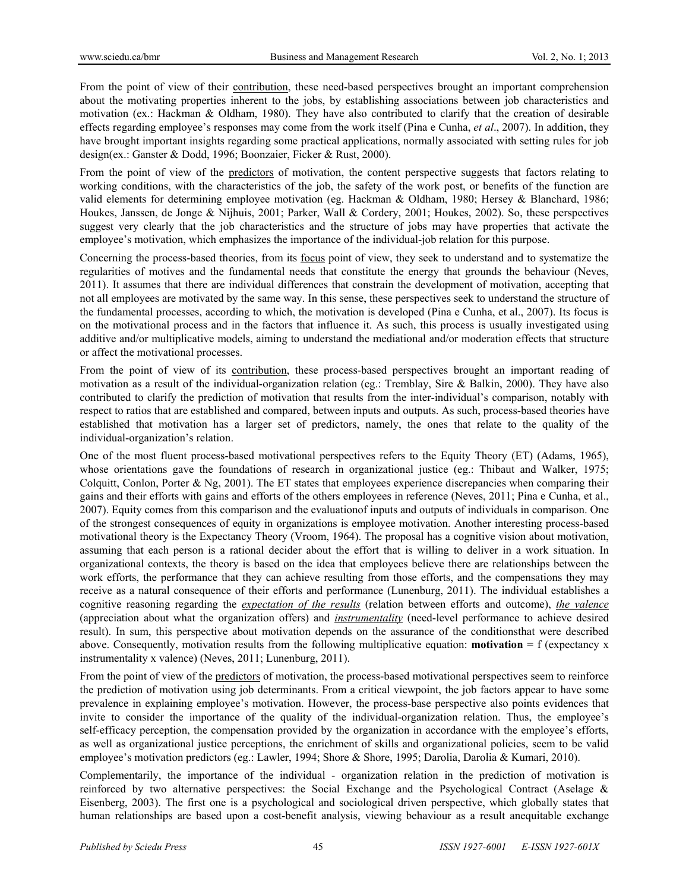From the point of view of their contribution, these need-based perspectives brought an important comprehension about the motivating properties inherent to the jobs, by establishing associations between job characteristics and motivation (ex.: Hackman & Oldham, 1980). They have also contributed to clarify that the creation of desirable effects regarding employee's responses may come from the work itself (Pina e Cunha, *et al*., 2007). In addition, they have brought important insights regarding some practical applications, normally associated with setting rules for job design(ex.: Ganster & Dodd, 1996; Boonzaier, Ficker & Rust, 2000).

From the point of view of the predictors of motivation, the content perspective suggests that factors relating to working conditions, with the characteristics of the job, the safety of the work post, or benefits of the function are valid elements for determining employee motivation (eg. Hackman & Oldham, 1980; Hersey & Blanchard, 1986; Houkes, Janssen, de Jonge & Nijhuis, 2001; Parker, Wall & Cordery, 2001; Houkes, 2002). So, these perspectives suggest very clearly that the job characteristics and the structure of jobs may have properties that activate the employee's motivation, which emphasizes the importance of the individual-job relation for this purpose.

Concerning the process-based theories, from its focus point of view, they seek to understand and to systematize the regularities of motives and the fundamental needs that constitute the energy that grounds the behaviour (Neves, 2011). It assumes that there are individual differences that constrain the development of motivation, accepting that not all employees are motivated by the same way. In this sense, these perspectives seek to understand the structure of the fundamental processes, according to which, the motivation is developed (Pina e Cunha, et al., 2007). Its focus is on the motivational process and in the factors that influence it. As such, this process is usually investigated using additive and/or multiplicative models, aiming to understand the mediational and/or moderation effects that structure or affect the motivational processes.

From the point of view of its contribution, these process-based perspectives brought an important reading of motivation as a result of the individual-organization relation (eg.: Tremblay, Sire & Balkin, 2000). They have also contributed to clarify the prediction of motivation that results from the inter-individual's comparison, notably with respect to ratios that are established and compared, between inputs and outputs. As such, process-based theories have established that motivation has a larger set of predictors, namely, the ones that relate to the quality of the individual-organization's relation.

One of the most fluent process-based motivational perspectives refers to the Equity Theory (ET) (Adams, 1965), whose orientations gave the foundations of research in organizational justice (eg.: Thibaut and Walker, 1975; Colquitt, Conlon, Porter & Ng, 2001). The ET states that employees experience discrepancies when comparing their gains and their efforts with gains and efforts of the others employees in reference (Neves, 2011; Pina e Cunha, et al., 2007). Equity comes from this comparison and the evaluationof inputs and outputs of individuals in comparison. One of the strongest consequences of equity in organizations is employee motivation. Another interesting process-based motivational theory is the Expectancy Theory (Vroom, 1964). The proposal has a cognitive vision about motivation, assuming that each person is a rational decider about the effort that is willing to deliver in a work situation. In organizational contexts, the theory is based on the idea that employees believe there are relationships between the work efforts, the performance that they can achieve resulting from those efforts, and the compensations they may receive as a natural consequence of their efforts and performance (Lunenburg, 2011). The individual establishes a cognitive reasoning regarding the *expectation of the results* (relation between efforts and outcome), *the valence* (appreciation about what the organization offers) and *instrumentality* (need-level performance to achieve desired result). In sum, this perspective about motivation depends on the assurance of the conditionsthat were described above. Consequently, motivation results from the following multiplicative equation: **motivation** = f (expectancy x instrumentality x valence) (Neves, 2011; Lunenburg, 2011).

From the point of view of the predictors of motivation, the process-based motivational perspectives seem to reinforce the prediction of motivation using job determinants. From a critical viewpoint, the job factors appear to have some prevalence in explaining employee's motivation. However, the process-base perspective also points evidences that invite to consider the importance of the quality of the individual-organization relation. Thus, the employee's self-efficacy perception, the compensation provided by the organization in accordance with the employee's efforts, as well as organizational justice perceptions, the enrichment of skills and organizational policies, seem to be valid employee's motivation predictors (eg.: Lawler, 1994; Shore & Shore, 1995; Darolia, Darolia & Kumari, 2010).

Complementarily, the importance of the individual - organization relation in the prediction of motivation is reinforced by two alternative perspectives: the Social Exchange and the Psychological Contract (Aselage & Eisenberg, 2003). The first one is a psychological and sociological driven perspective, which globally states that human relationships are based upon a cost-benefit analysis, viewing behaviour as a result anequitable exchange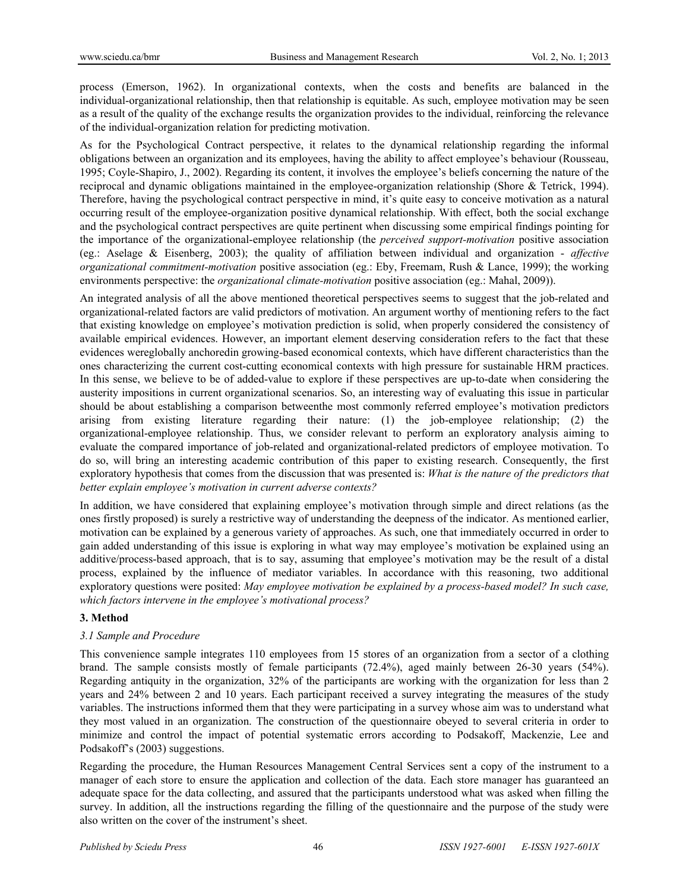process (Emerson, 1962). In organizational contexts, when the costs and benefits are balanced in the individual-organizational relationship, then that relationship is equitable. As such, employee motivation may be seen as a result of the quality of the exchange results the organization provides to the individual, reinforcing the relevance of the individual-organization relation for predicting motivation.

As for the Psychological Contract perspective, it relates to the dynamical relationship regarding the informal obligations between an organization and its employees, having the ability to affect employee's behaviour (Rousseau, 1995; Coyle-Shapiro, J., 2002). Regarding its content, it involves the employee's beliefs concerning the nature of the reciprocal and dynamic obligations maintained in the employee-organization relationship (Shore & Tetrick, 1994). Therefore, having the psychological contract perspective in mind, it's quite easy to conceive motivation as a natural occurring result of the employee-organization positive dynamical relationship. With effect, both the social exchange and the psychological contract perspectives are quite pertinent when discussing some empirical findings pointing for the importance of the organizational-employee relationship (the *perceived support-motivation* positive association (eg.: Aselage & Eisenberg, 2003); the quality of affiliation between individual and organization - *affective organizational commitment-motivation* positive association (eg.: Eby, Freemam, Rush & Lance, 1999); the working environments perspective: the *organizational climate-motivation* positive association (eg.: Mahal, 2009)).

An integrated analysis of all the above mentioned theoretical perspectives seems to suggest that the job-related and organizational-related factors are valid predictors of motivation. An argument worthy of mentioning refers to the fact that existing knowledge on employee's motivation prediction is solid, when properly considered the consistency of available empirical evidences. However, an important element deserving consideration refers to the fact that these evidences wereglobally anchoredin growing-based economical contexts, which have different characteristics than the ones characterizing the current cost-cutting economical contexts with high pressure for sustainable HRM practices. In this sense, we believe to be of added-value to explore if these perspectives are up-to-date when considering the austerity impositions in current organizational scenarios. So, an interesting way of evaluating this issue in particular should be about establishing a comparison betweenthe most commonly referred employee's motivation predictors arising from existing literature regarding their nature: (1) the job-employee relationship; (2) the organizational-employee relationship. Thus, we consider relevant to perform an exploratory analysis aiming to evaluate the compared importance of job-related and organizational-related predictors of employee motivation. To do so, will bring an interesting academic contribution of this paper to existing research. Consequently, the first exploratory hypothesis that comes from the discussion that was presented is: *What is the nature of the predictors that better explain employee's motivation in current adverse contexts?* 

In addition, we have considered that explaining employee's motivation through simple and direct relations (as the ones firstly proposed) is surely a restrictive way of understanding the deepness of the indicator. As mentioned earlier, motivation can be explained by a generous variety of approaches. As such, one that immediately occurred in order to gain added understanding of this issue is exploring in what way may employee's motivation be explained using an additive/process-based approach, that is to say, assuming that employee's motivation may be the result of a distal process, explained by the influence of mediator variables. In accordance with this reasoning, two additional exploratory questions were posited: *May employee motivation be explained by a process-based model? In such case, which factors intervene in the employee's motivational process?* 

## **3. Method**

## *3.1 Sample and Procedure*

This convenience sample integrates 110 employees from 15 stores of an organization from a sector of a clothing brand. The sample consists mostly of female participants (72.4%), aged mainly between 26-30 years (54%). Regarding antiquity in the organization, 32% of the participants are working with the organization for less than 2 years and 24% between 2 and 10 years. Each participant received a survey integrating the measures of the study variables. The instructions informed them that they were participating in a survey whose aim was to understand what they most valued in an organization. The construction of the questionnaire obeyed to several criteria in order to minimize and control the impact of potential systematic errors according to Podsakoff, Mackenzie, Lee and Podsakoff's (2003) suggestions.

Regarding the procedure, the Human Resources Management Central Services sent a copy of the instrument to a manager of each store to ensure the application and collection of the data. Each store manager has guaranteed an adequate space for the data collecting, and assured that the participants understood what was asked when filling the survey. In addition, all the instructions regarding the filling of the questionnaire and the purpose of the study were also written on the cover of the instrument's sheet.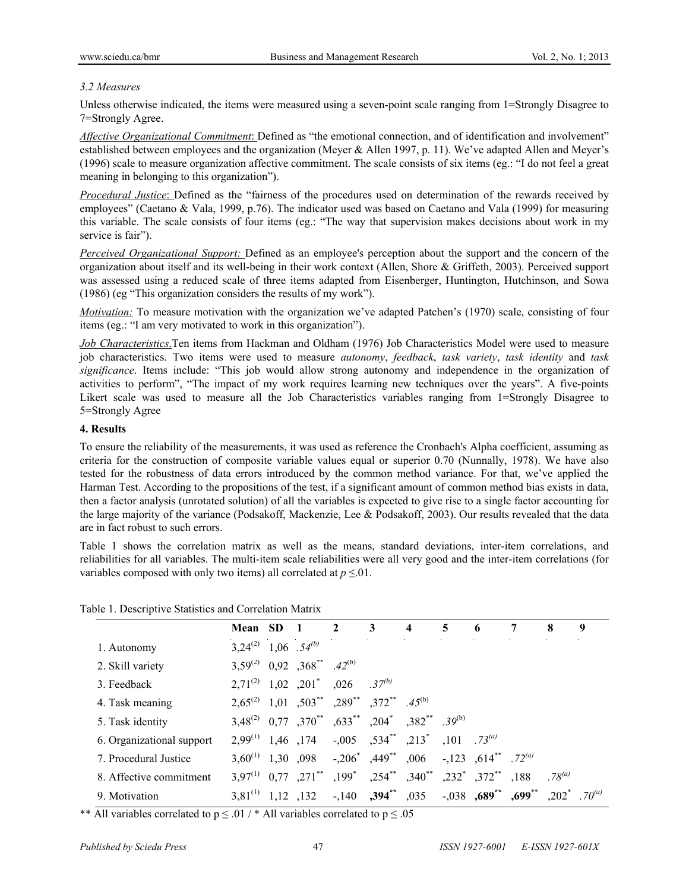#### *3.2 Measures*

Unless otherwise indicated, the items were measured using a seven-point scale ranging from 1=Strongly Disagree to 7=Strongly Agree.

*Affective Organizational Commitment*: Defined as "the emotional connection, and of identification and involvement" established between employees and the organization (Meyer & Allen 1997, p. 11). We've adapted Allen and Meyer's (1996) scale to measure organization affective commitment. The scale consists of six items (eg.: "I do not feel a great meaning in belonging to this organization").

*Procedural Justice*: Defined as the "fairness of the procedures used on determination of the rewards received by employees" (Caetano & Vala, 1999, p.76). The indicator used was based on Caetano and Vala (1999) for measuring this variable. The scale consists of four items (eg.: "The way that supervision makes decisions about work in my service is fair").

*Perceived Organizational Support:* Defined as an employee's perception about the support and the concern of the organization about itself and its well-being in their work context (Allen, Shore & Griffeth, 2003). Perceived support was assessed using a reduced scale of three items adapted from Eisenberger, Huntington, Hutchinson, and Sowa (1986) (eg "This organization considers the results of my work").

*Motivation:* To measure motivation with the organization we've adapted Patchen's (1970) scale, consisting of four items (eg.: "I am very motivated to work in this organization").

*Job Characteristics*.Ten items from Hackman and Oldham (1976) Job Characteristics Model were used to measure job characteristics. Two items were used to measure *autonomy*, *feedback*, *task variety*, *task identity* and *task significance*. Items include: "This job would allow strong autonomy and independence in the organization of activities to perform", "The impact of my work requires learning new techniques over the years". A five-points Likert scale was used to measure all the Job Characteristics variables ranging from 1=Strongly Disagree to 5=Strongly Agree

#### **4. Results**

To ensure the reliability of the measurements, it was used as reference the Cronbach's Alpha coefficient, assuming as criteria for the construction of composite variable values equal or superior 0.70 (Nunnally, 1978). We have also tested for the robustness of data errors introduced by the common method variance. For that, we've applied the Harman Test. According to the propositions of the test, if a significant amount of common method bias exists in data, then a factor analysis (unrotated solution) of all the variables is expected to give rise to a single factor accounting for the large majority of the variance (Podsakoff, Mackenzie, Lee & Podsakoff, 2003). Our results revealed that the data are in fact robust to such errors.

Table 1 shows the correlation matrix as well as the means, standard deviations, inter-item correlations, and reliabilities for all variables. The multi-item scale reliabilities were all very good and the inter-item correlations (for variables composed with only two items) all correlated at  $p \le 01$ .

|                           | Mean SD                              | $\blacksquare$                                                 | $\overline{2}$                                                     | $\mathbf{3}$                                                      | 4                                                                                                                                                   | 5 | 6 | 8           | 9                  |
|---------------------------|--------------------------------------|----------------------------------------------------------------|--------------------------------------------------------------------|-------------------------------------------------------------------|-----------------------------------------------------------------------------------------------------------------------------------------------------|---|---|-------------|--------------------|
| 1. Autonomy               | $3,24^{(2)}$ 1,06 .54 <sup>(b)</sup> |                                                                |                                                                    |                                                                   |                                                                                                                                                     |   |   |             |                    |
| 2. Skill variety          |                                      | 3,59 <sup>(2)</sup> 0,92 ,368 <sup>**</sup> .42 <sup>(b)</sup> |                                                                    |                                                                   |                                                                                                                                                     |   |   |             |                    |
| 3. Feedback               |                                      |                                                                | 2,71 <sup>(2)</sup> 1,02 ,201 <sup>*</sup> ,026 .37 <sup>(b)</sup> |                                                                   |                                                                                                                                                     |   |   |             |                    |
| 4. Task meaning           |                                      |                                                                |                                                                    | $2,65^{(2)}$ 1,01 $,503^{**}$ $,289^{**}$ $,372^{**}$ $,45^{(b)}$ |                                                                                                                                                     |   |   |             |                    |
| 5. Task identity          |                                      |                                                                |                                                                    |                                                                   | $3,48^{(2)}$ $0,77$ $,370^{**}$ $,633^{**}$ $,204^{*}$ $,382^{**}$ $,39^{(b)}$                                                                      |   |   |             |                    |
| 6. Organizational support |                                      |                                                                |                                                                    |                                                                   | 2,99 <sup>(1)</sup> 1,46, 174, -,005, 534 <sup>**</sup> , 213 <sup>*</sup> , 101, 73 <sup>(a)</sup>                                                 |   |   |             |                    |
| 7. Procedural Justice     |                                      |                                                                |                                                                    |                                                                   | $3,60^{(1)}$ 1,30 ,098 -,206 <sup>*</sup> ,449 <sup>**</sup> ,006 -,123 ,614 <sup>**</sup> .72 <sup>(a)</sup>                                       |   |   |             |                    |
| 8. Affective commitment   |                                      |                                                                |                                                                    |                                                                   | 3,97 <sup>(1)</sup> 0,77, 271 <sup>**</sup> , 199 <sup>*</sup> , 254 <sup>**</sup> , 340 <sup>**</sup> , 232 <sup>*</sup> , 372 <sup>**</sup> , 188 |   |   | $.78^{(a)}$ |                    |
| 9. Motivation             |                                      |                                                                |                                                                    |                                                                   | $3,81^{(1)}$ 1,12, 132, -140, 394**, 035, -038, 689**, 699**                                                                                        |   |   |             | $,202$ $,70^{(a)}$ |

\*\* All variables correlated to  $p \le 0.01$  / \* All variables correlated to  $p \le 0.05$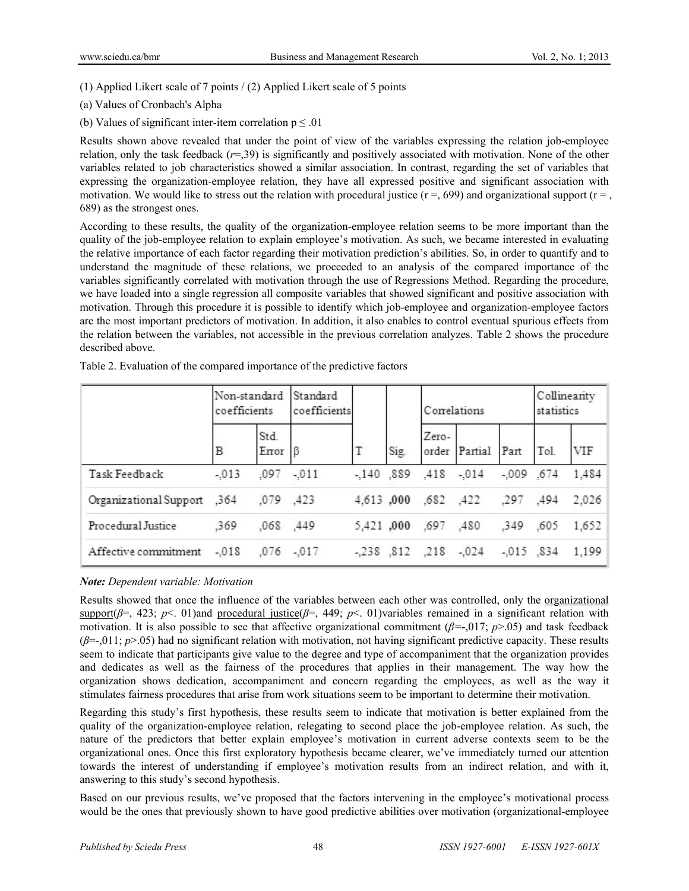(1) Applied Likert scale of 7 points / (2) Applied Likert scale of 5 points

- (a) Values of Cronbach's Alpha
- (b) Values of significant inter-item correlation  $p \le 0.01$

Results shown above revealed that under the point of view of the variables expressing the relation job-employee relation, only the task feedback  $(r=0.39)$  is significantly and positively associated with motivation. None of the other variables related to job characteristics showed a similar association. In contrast, regarding the set of variables that expressing the organization-employee relation, they have all expressed positive and significant association with motivation. We would like to stress out the relation with procedural justice ( $r = 699$ ) and organizational support ( $r = 1$ , 689) as the strongest ones.

According to these results, the quality of the organization-employee relation seems to be more important than the quality of the job-employee relation to explain employee's motivation. As such, we became interested in evaluating the relative importance of each factor regarding their motivation prediction's abilities. So, in order to quantify and to understand the magnitude of these relations, we proceeded to an analysis of the compared importance of the variables significantly correlated with motivation through the use of Regressions Method. Regarding the procedure, we have loaded into a single regression all composite variables that showed significant and positive association with motivation. Through this procedure it is possible to identify which job-employee and organization-employee factors are the most important predictors of motivation. In addition, it also enables to control eventual spurious effects from the relation between the variables, not accessible in the previous correlation analyzes. Table 2 shows the procedure described above.

|                             | Non-standard<br>coefficients |                | Standard<br>coefficients |           |      | Correlations          |                               |               | Collinearity<br>statistics |       |
|-----------------------------|------------------------------|----------------|--------------------------|-----------|------|-----------------------|-------------------------------|---------------|----------------------------|-------|
|                             | В                            | Std.<br>Error  | Ιß                       | T         | Sig. | Zero-                 | order Partial Part            |               | Tol.                       | VIF   |
| Task Feedback               | $-.013$                      | ,097           | $-011$                   |           |      |                       | .140 .889 .418 .014 .009 .674 |               |                            | 1,484 |
| 364, Organizational Support |                              | .079 .423      |                          | 4,613,000 |      | .682 .422             |                               | .297 .494     |                            | 2.026 |
| Procedural Justice          | .369                         | .068 .449      |                          | 5,421,000 |      | ,697                  | .480                          | .349          | .605                       | 1.652 |
| Affective commitment -,018  |                              | $,076$ $-,017$ |                          |           |      | -,238 ,812 ,218 -,024 |                               | $-.015$ , 834 |                            | 1.199 |

Table 2. Evaluation of the compared importance of the predictive factors

## *Note: Dependent variable: Motivation*

Results showed that once the influence of the variables between each other was controlled, only the organizational support( $\beta$ =, 423; *p*<. 01)and procedural justice( $\beta$ =, 449; *p*<. 01)variables remained in a significant relation with motivation. It is also possible to see that affective organizational commitment (*β=*-,017; *p*>.05) and task feedback (*β*=-,011; *p*>.05) had no significant relation with motivation, not having significant predictive capacity. These results seem to indicate that participants give value to the degree and type of accompaniment that the organization provides and dedicates as well as the fairness of the procedures that applies in their management. The way how the organization shows dedication, accompaniment and concern regarding the employees, as well as the way it stimulates fairness procedures that arise from work situations seem to be important to determine their motivation.

Regarding this study's first hypothesis, these results seem to indicate that motivation is better explained from the quality of the organization-employee relation, relegating to second place the job-employee relation. As such, the nature of the predictors that better explain employee's motivation in current adverse contexts seem to be the organizational ones. Once this first exploratory hypothesis became clearer, we've immediately turned our attention towards the interest of understanding if employee's motivation results from an indirect relation, and with it, answering to this study's second hypothesis.

Based on our previous results, we've proposed that the factors intervening in the employee's motivational process would be the ones that previously shown to have good predictive abilities over motivation (organizational-employee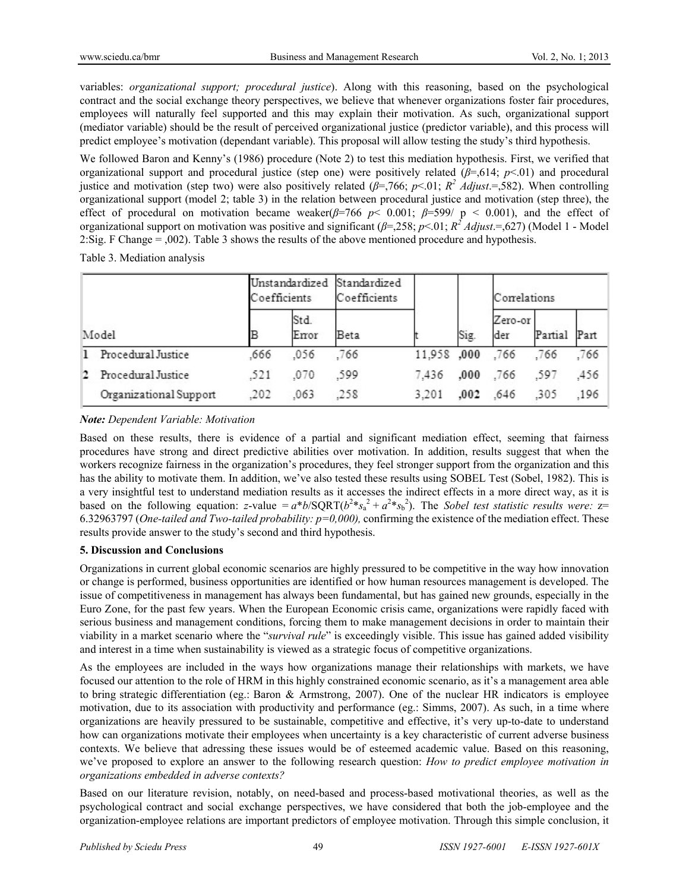variables: *organizational support; procedural justice*). Along with this reasoning, based on the psychological contract and the social exchange theory perspectives, we believe that whenever organizations foster fair procedures, employees will naturally feel supported and this may explain their motivation. As such, organizational support (mediator variable) should be the result of perceived organizational justice (predictor variable), and this process will predict employee's motivation (dependant variable). This proposal will allow testing the study's third hypothesis.

We followed Baron and Kenny's (1986) procedure (Note 2) to test this mediation hypothesis. First, we verified that organizational support and procedural justice (step one) were positively related  $(\beta = 614; p < 01)$  and procedural justice and motivation (step two) were also positively related ( $\beta$ =,766;  $p$ <.01;  $R^2$  *Adjust*.=,582). When controlling organizational support (model 2; table 3) in the relation between procedural justice and motivation (step three), the effect of procedural on motivation became weaker(*β*=766 *p*< 0.001; *β*=599/ p < 0.001), and the effect of organizational support on motivation was positive and significant  $(\beta = 258; p < 0.01; R^2 \text{ Adjust} = 627)$  (Model 1 - Model 2:Sig. F Change = ,002). Table 3 shows the results of the above mentioned procedure and hypothesis.

Table 3. Mediation analysis

| Model |                        | Coefficients |               | Unstandardized Standardized<br>Coefficients |             |      | Correlations   |         |      |
|-------|------------------------|--------------|---------------|---------------------------------------------|-------------|------|----------------|---------|------|
|       |                        | B            | Std.<br>Error | Beta                                        |             | Sig. | Zero-or<br>der | Partial | Part |
|       | 1 Procedural Justice   | .666         | .056          | .766                                        | 11.958 .000 |      | .766           | .766    | .766 |
|       | 2 Procedural Justice   | .521         | .070          | .599                                        | 7.436       | 000. | .766           | .597    | .456 |
|       | Organizational Support | .202         | .063          | .258                                        | 3.201       | .002 | .646           | .305    | .196 |

*Note: Dependent Variable: Motivation*

Based on these results, there is evidence of a partial and significant mediation effect, seeming that fairness procedures have strong and direct predictive abilities over motivation. In addition, results suggest that when the workers recognize fairness in the organization's procedures, they feel stronger support from the organization and this has the ability to motivate them. In addition, we've also tested these results using SOBEL Test (Sobel, 1982). This is a very insightful test to understand mediation results as it accesses the indirect effects in a more direct way, as it is based on the following equation: *z*-value =  $a^*b/\text{SQRT}(b^2 * s_a^2 + a^2 * s_b^2)$ . The *Sobel test statistic results were: z*= 6.32963797 (*One-tailed and Two-tailed probability: p=0,000),* confirming the existence of the mediation effect. These results provide answer to the study's second and third hypothesis.

## **5. Discussion and Conclusions**

Organizations in current global economic scenarios are highly pressured to be competitive in the way how innovation or change is performed, business opportunities are identified or how human resources management is developed. The issue of competitiveness in management has always been fundamental, but has gained new grounds, especially in the Euro Zone, for the past few years. When the European Economic crisis came, organizations were rapidly faced with serious business and management conditions, forcing them to make management decisions in order to maintain their viability in a market scenario where the "*survival rule*" is exceedingly visible. This issue has gained added visibility and interest in a time when sustainability is viewed as a strategic focus of competitive organizations.

As the employees are included in the ways how organizations manage their relationships with markets, we have focused our attention to the role of HRM in this highly constrained economic scenario, as it's a management area able to bring strategic differentiation (eg.: Baron & Armstrong, 2007). One of the nuclear HR indicators is employee motivation, due to its association with productivity and performance (eg.: Simms, 2007). As such, in a time where organizations are heavily pressured to be sustainable, competitive and effective, it's very up-to-date to understand how can organizations motivate their employees when uncertainty is a key characteristic of current adverse business contexts. We believe that adressing these issues would be of esteemed academic value. Based on this reasoning, we've proposed to explore an answer to the following research question: *How to predict employee motivation in organizations embedded in adverse contexts?*

Based on our literature revision, notably, on need-based and process-based motivational theories, as well as the psychological contract and social exchange perspectives, we have considered that both the job-employee and the organization-employee relations are important predictors of employee motivation. Through this simple conclusion, it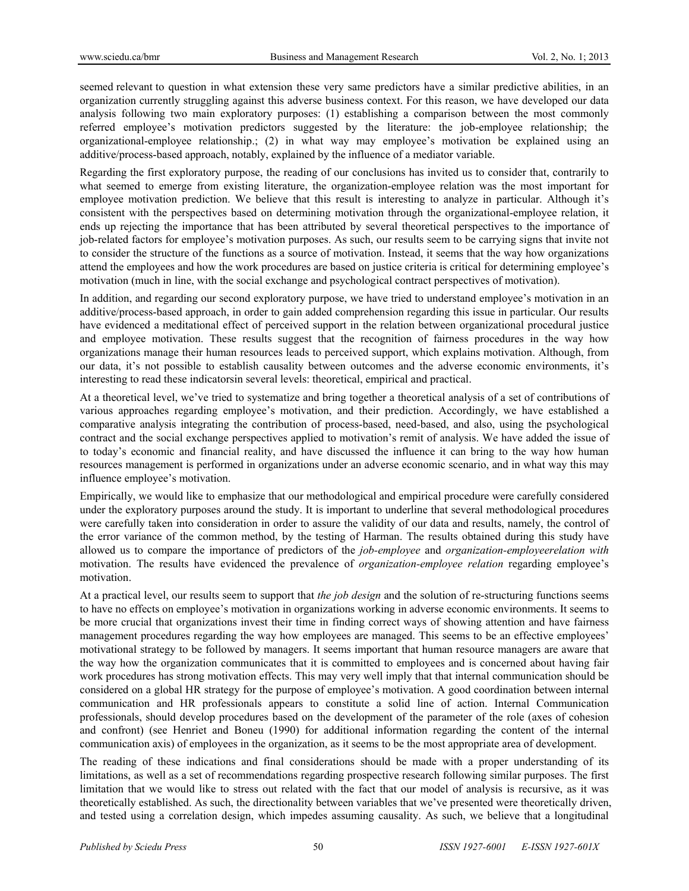seemed relevant to question in what extension these very same predictors have a similar predictive abilities, in an organization currently struggling against this adverse business context. For this reason, we have developed our data analysis following two main exploratory purposes: (1) establishing a comparison between the most commonly referred employee's motivation predictors suggested by the literature: the job-employee relationship; the organizational-employee relationship.; (2) in what way may employee's motivation be explained using an additive/process-based approach, notably, explained by the influence of a mediator variable.

Regarding the first exploratory purpose, the reading of our conclusions has invited us to consider that, contrarily to what seemed to emerge from existing literature, the organization-employee relation was the most important for employee motivation prediction. We believe that this result is interesting to analyze in particular. Although it's consistent with the perspectives based on determining motivation through the organizational-employee relation, it ends up rejecting the importance that has been attributed by several theoretical perspectives to the importance of job-related factors for employee's motivation purposes. As such, our results seem to be carrying signs that invite not to consider the structure of the functions as a source of motivation. Instead, it seems that the way how organizations attend the employees and how the work procedures are based on justice criteria is critical for determining employee's motivation (much in line, with the social exchange and psychological contract perspectives of motivation).

In addition, and regarding our second exploratory purpose, we have tried to understand employee's motivation in an additive/process-based approach, in order to gain added comprehension regarding this issue in particular. Our results have evidenced a meditational effect of perceived support in the relation between organizational procedural justice and employee motivation. These results suggest that the recognition of fairness procedures in the way how organizations manage their human resources leads to perceived support, which explains motivation. Although, from our data, it's not possible to establish causality between outcomes and the adverse economic environments, it's interesting to read these indicatorsin several levels: theoretical, empirical and practical.

At a theoretical level, we've tried to systematize and bring together a theoretical analysis of a set of contributions of various approaches regarding employee's motivation, and their prediction. Accordingly, we have established a comparative analysis integrating the contribution of process-based, need-based, and also, using the psychological contract and the social exchange perspectives applied to motivation's remit of analysis. We have added the issue of to today's economic and financial reality, and have discussed the influence it can bring to the way how human resources management is performed in organizations under an adverse economic scenario, and in what way this may influence employee's motivation.

Empirically, we would like to emphasize that our methodological and empirical procedure were carefully considered under the exploratory purposes around the study. It is important to underline that several methodological procedures were carefully taken into consideration in order to assure the validity of our data and results, namely, the control of the error variance of the common method, by the testing of Harman. The results obtained during this study have allowed us to compare the importance of predictors of the *job-employee* and *organization-employeerelation with* motivation. The results have evidenced the prevalence of *organization-employee relation* regarding employee's motivation.

At a practical level, our results seem to support that *the job design* and the solution of re-structuring functions seems to have no effects on employee's motivation in organizations working in adverse economic environments. It seems to be more crucial that organizations invest their time in finding correct ways of showing attention and have fairness management procedures regarding the way how employees are managed. This seems to be an effective employees' motivational strategy to be followed by managers. It seems important that human resource managers are aware that the way how the organization communicates that it is committed to employees and is concerned about having fair work procedures has strong motivation effects. This may very well imply that that internal communication should be considered on a global HR strategy for the purpose of employee's motivation. A good coordination between internal communication and HR professionals appears to constitute a solid line of action. Internal Communication professionals, should develop procedures based on the development of the parameter of the role (axes of cohesion and confront) (see Henriet and Boneu (1990) for additional information regarding the content of the internal communication axis) of employees in the organization, as it seems to be the most appropriate area of development.

The reading of these indications and final considerations should be made with a proper understanding of its limitations, as well as a set of recommendations regarding prospective research following similar purposes. The first limitation that we would like to stress out related with the fact that our model of analysis is recursive, as it was theoretically established. As such, the directionality between variables that we've presented were theoretically driven, and tested using a correlation design, which impedes assuming causality. As such, we believe that a longitudinal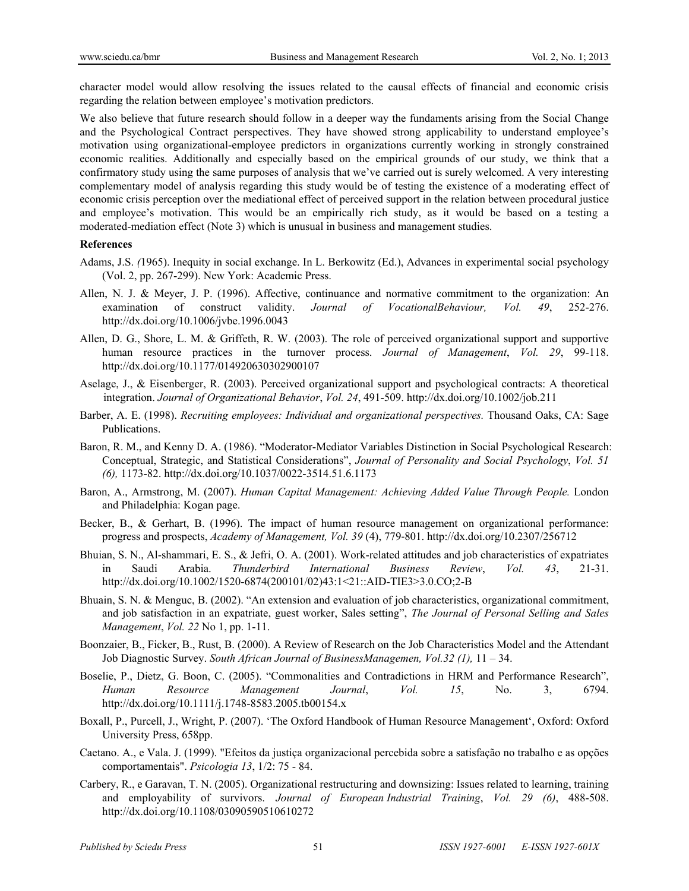character model would allow resolving the issues related to the causal effects of financial and economic crisis regarding the relation between employee's motivation predictors.

We also believe that future research should follow in a deeper way the fundaments arising from the Social Change and the Psychological Contract perspectives. They have showed strong applicability to understand employee's motivation using organizational-employee predictors in organizations currently working in strongly constrained economic realities. Additionally and especially based on the empirical grounds of our study, we think that a confirmatory study using the same purposes of analysis that we've carried out is surely welcomed. A very interesting complementary model of analysis regarding this study would be of testing the existence of a moderating effect of economic crisis perception over the mediational effect of perceived support in the relation between procedural justice and employee's motivation. This would be an empirically rich study, as it would be based on a testing a moderated-mediation effect (Note 3) which is unusual in business and management studies.

#### **References**

- Adams, J.S. *(*1965). Inequity in social exchange. In L. Berkowitz (Ed.), Advances in experimental social psychology (Vol. 2, pp. 267-299). New York: Academic Press.
- Allen, N. J. & Meyer, J. P. (1996). Affective, continuance and normative commitment to the organization: An examination of construct validity. *Journal of VocationalBehaviour, Vol. 49*, 252-276. http://dx.doi.org/10.1006/jvbe.1996.0043
- Allen, D. G., Shore, L. M. & Griffeth, R. W. (2003). The role of perceived organizational support and supportive human resource practices in the turnover process. *Journal of Management*, *Vol. 29*, 99-118. http://dx.doi.org/10.1177/014920630302900107
- Aselage, J., & Eisenberger, R. (2003). Perceived organizational support and psychological contracts: A theoretical integration. *Journal of Organizational Behavior*, *Vol. 24*, 491-509. http://dx.doi.org/10.1002/job.211
- Barber, A. E. (1998). *Recruiting employees: Individual and organizational perspectives.* Thousand Oaks, CA: Sage Publications.
- Baron, R. M., and Kenny D. A. (1986). "Moderator-Mediator Variables Distinction in Social Psychological Research: Conceptual, Strategic, and Statistical Considerations", *Journal of Personality and Social Psychology*, *Vol. 51 (6),* 1173-82. http://dx.doi.org/10.1037/0022-3514.51.6.1173
- Baron, A., Armstrong, M. (2007). *Human Capital Management: Achieving Added Value Through People.* London and Philadelphia: Kogan page.
- Becker, B., & Gerhart, B. (1996). The impact of human resource management on organizational performance: progress and prospects, *Academy of Management, Vol. 39* (4), 779‐801. http://dx.doi.org/10.2307/256712
- Bhuian, S. N., Al-shammari, E. S., & Jefri, O. A. (2001). Work-related attitudes and job characteristics of expatriates in Saudi Arabia. *Thunderbird International Business Review*, *Vol. 43*, 21-31. http://dx.doi.org/10.1002/1520-6874(200101/02)43:1<21::AID-TIE3>3.0.CO;2-B
- Bhuain, S. N. & Menguc, B. (2002). "An extension and evaluation of job characteristics, organizational commitment, and job satisfaction in an expatriate, guest worker, Sales setting", *The Journal of Personal Selling and Sales Management*, *Vol. 22* No 1, pp. 1-11.
- Boonzaier, B., Ficker, B., Rust, B. (2000). A Review of Research on the Job Characteristics Model and the Attendant Job Diagnostic Survey. *South African Journal of BusinessManagemen, Vol.32 (1),* 11 – 34.
- Boselie, P., Dietz, G. Boon, C. (2005). "Commonalities and Contradictions in HRM and Performance Research", *Human Resource Management Journal*, *Vol. 15*, No. 3, 6794. http://dx.doi.org/10.1111/j.1748-8583.2005.tb00154.x
- Boxall, P., Purcell, J., Wright, P. (2007). 'The Oxford Handbook of Human Resource Management', Oxford: Oxford University Press, 658pp.
- Caetano. A., e Vala. J. (1999). "Efeitos da justiça organizacional percebida sobre a satisfação no trabalho e as opções comportamentais". *Psicologia 13*, 1/2: 75 - 84.
- Carbery, R., e Garavan, T. N. (2005). Organizational restructuring and downsizing: Issues related to learning, training and employability of survivors. *Journal of European Industrial Training*, *Vol. 29 (6)*, 488-508. http://dx.doi.org/10.1108/03090590510610272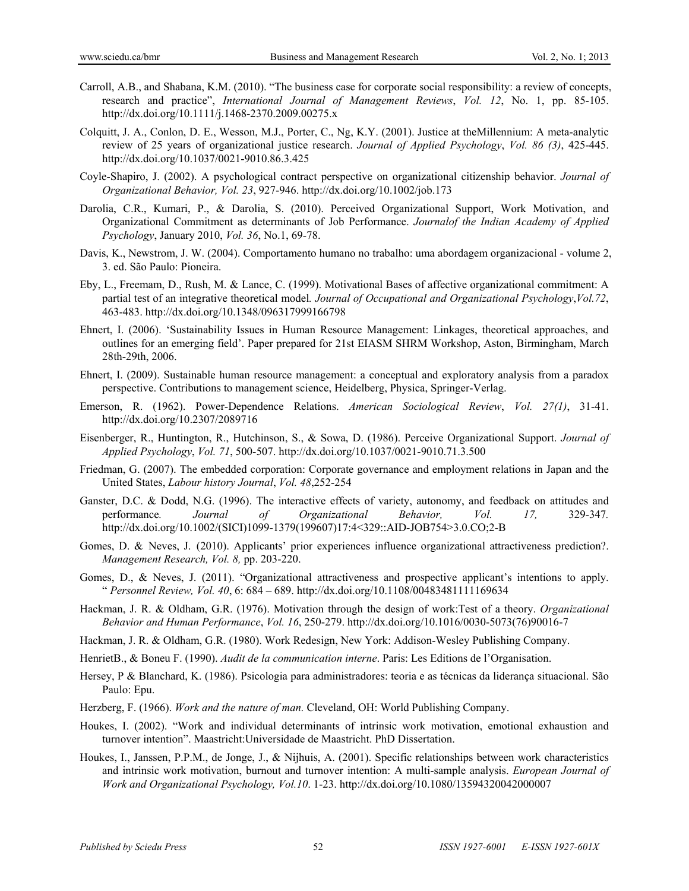- Carroll, A.B., and Shabana, K.M. (2010). "The business case for corporate social responsibility: a review of concepts, research and practice", *International Journal of Management Reviews*, *Vol. 12*, No. 1, pp. 85-105. http://dx.doi.org/10.1111/j.1468-2370.2009.00275.x
- Colquitt, J. A., Conlon, D. E., Wesson, M.J., Porter, C., Ng, K.Y. (2001). Justice at theMillennium: A meta-analytic review of 25 years of organizational justice research. *Journal of Applied Psychology*, *Vol. 86 (3)*, 425-445. http://dx.doi.org/10.1037/0021-9010.86.3.425
- Coyle-Shapiro, J. (2002). A psychological contract perspective on organizational citizenship behavior. *Journal of Organizational Behavior, Vol. 23*, 927-946. http://dx.doi.org/10.1002/job.173
- Darolia, C.R., Kumari, P., & Darolia, S. (2010). Perceived Organizational Support, Work Motivation, and Organizational Commitment as determinants of Job Performance. *Journalof the Indian Academy of Applied Psychology*, January 2010, *Vol. 36*, No.1, 69-78.
- Davis, K., Newstrom, J. W. (2004). Comportamento humano no trabalho: uma abordagem organizacional volume 2, 3. ed. São Paulo: Pioneira.
- Eby, L., Freemam, D., Rush, M. & Lance, C. (1999). Motivational Bases of affective organizational commitment: A partial test of an integrative theoretical model*. Journal of Occupational and Organizational Psychology*,*Vol.72*, 463-483. http://dx.doi.org/10.1348/096317999166798
- Ehnert, I. (2006). 'Sustainability Issues in Human Resource Management: Linkages, theoretical approaches, and outlines for an emerging field'. Paper prepared for 21st EIASM SHRM Workshop, Aston, Birmingham, March 28th-29th, 2006.
- Ehnert, I. (2009). Sustainable human resource management: a conceptual and exploratory analysis from a paradox perspective. Contributions to management science, Heidelberg, Physica, Springer-Verlag.
- Emerson, R. (1962). Power-Dependence Relations. *American Sociological Review*, *Vol. 27(1)*, 31-41. http://dx.doi.org/10.2307/2089716
- Eisenberger, R., Huntington, R., Hutchinson, S., & Sowa, D. (1986). Perceive Organizational Support. *Journal of Applied Psychology*, *Vol. 71*, 500-507. http://dx.doi.org/10.1037/0021-9010.71.3.500
- Friedman, G. (2007). The embedded corporation: Corporate governance and employment relations in Japan and the United States, *Labour history Journal*, *Vol. 48*,252-254
- Ganster, D.C. & Dodd, N.G. (1996). The interactive effects of variety, autonomy, and feedback on attitudes and performance*. Journal of Organizational Behavior, Vol. 17,* 329*-*347*.*  http://dx.doi.org/10.1002/(SICI)1099-1379(199607)17:4<329::AID-JOB754>3.0.CO;2-B
- Gomes, D. & Neves, J. (2010). Applicants' prior experiences influence organizational attractiveness prediction?. *Management Research, Vol. 8,* pp. 203-220.
- Gomes, D., & Neves, J. (2011). "Organizational attractiveness and prospective applicant's intentions to apply. " *Personnel Review, Vol. 40*, 6: 684 – 689. http://dx.doi.org/10.1108/00483481111169634
- Hackman, J. R. & Oldham, G.R. (1976). Motivation through the design of work:Test of a theory. *Organizational Behavior and Human Performance*, *Vol. 16*, 250-279. http://dx.doi.org/10.1016/0030-5073(76)90016-7
- Hackman, J. R. & Oldham, G.R. (1980). Work Redesign, New York: Addison-Wesley Publishing Company.
- HenrietB., & Boneu F. (1990). *Audit de la communication interne*. Paris: Les Editions de l'Organisation.
- Hersey, P & Blanchard, K. (1986). Psicologia para administradores: teoria e as técnicas da liderança situacional. São Paulo: Epu.
- Herzberg, F. (1966). *Work and the nature of man.* Cleveland, OH: World Publishing Company.
- Houkes, I. (2002). "Work and individual determinants of intrinsic work motivation, emotional exhaustion and turnover intention". Maastricht:Universidade de Maastricht. PhD Dissertation.
- Houkes, I., Janssen, P.P.M., de Jonge, J., & Nijhuis, A. (2001). Specific relationships between work characteristics and intrinsic work motivation, burnout and turnover intention: A multi-sample analysis. *European Journal of Work and Organizational Psychology, Vol.10*. 1-23. http://dx.doi.org/10.1080/13594320042000007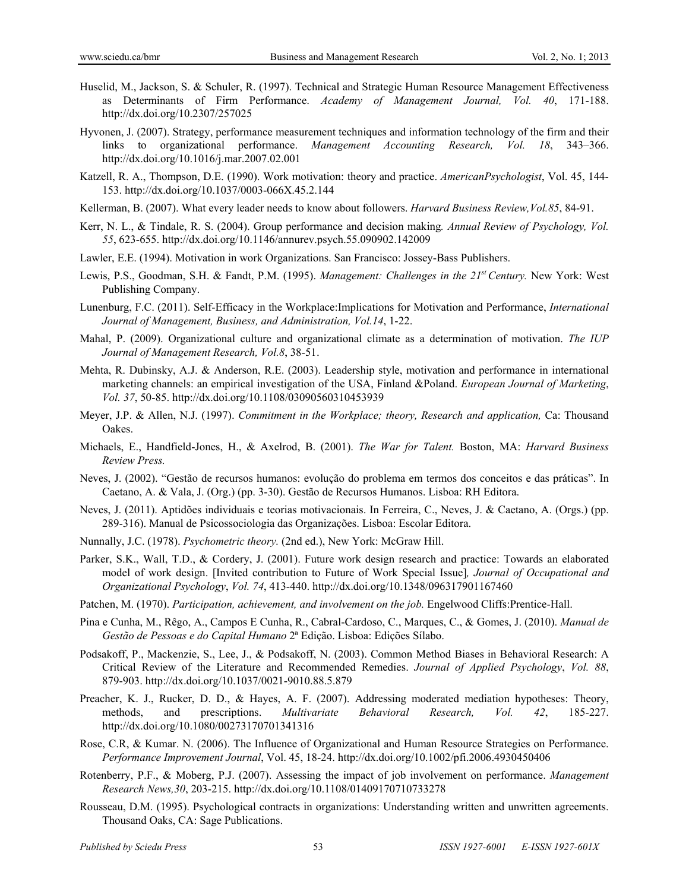- Huselid, M., Jackson, S. & Schuler, R. (1997). Technical and Strategic Human Resource Management Effectiveness as Determinants of Firm Performance. *Academy of Management Journal, Vol. 40*, 171-188. http://dx.doi.org/10.2307/257025
- Hyvonen, J. (2007). Strategy, performance measurement techniques and information technology of the firm and their links to organizational performance. *Management Accounting Research, Vol. 18*, 343–366. http://dx.doi.org/10.1016/j.mar.2007.02.001
- Katzell, R. A., Thompson, D.E. (1990). Work motivation: theory and practice. *AmericanPsychologist*, Vol. 45, 144- 153. http://dx.doi.org/10.1037/0003-066X.45.2.144
- Kellerman, B. (2007). What every leader needs to know about followers. *Harvard Business Review,Vol.85*, 84-91.
- Kerr, N. L., & Tindale, R. S. (2004). Group performance and decision making*. Annual Review of Psychology, Vol. 55*, 623-655. http://dx.doi.org/10.1146/annurev.psych.55.090902.142009
- Lawler, E.E. (1994). Motivation in work Organizations. San Francisco: Jossey-Bass Publishers.
- Lewis, P.S., Goodman, S.H. & Fandt, P.M. (1995). *Management: Challenges in the 21st Century.* New York: West Publishing Company.
- Lunenburg, F.C. (2011). Self-Efficacy in the Workplace:Implications for Motivation and Performance, *International Journal of Management, Business, and Administration, Vol.14*, 1-22.
- Mahal, P. (2009). Organizational culture and organizational climate as a determination of motivation. *The IUP Journal of Management Research, Vol.8*, 38-51.
- Mehta, R. Dubinsky, A.J. & Anderson, R.E. (2003). Leadership style, motivation and performance in international marketing channels: an empirical investigation of the USA, Finland &Poland. *European Journal of Marketing*, *Vol. 37*, 50-85. http://dx.doi.org/10.1108/03090560310453939
- Meyer, J.P. & Allen, N.J. (1997). *Commitment in the Workplace; theory, Research and application,* Ca: Thousand Oakes.
- Michaels, E., Handfield-Jones, H., & Axelrod, B. (2001). *The War for Talent.* Boston, MA: *Harvard Business Review Press.*
- Neves, J. (2002). "Gestão de recursos humanos: evolução do problema em termos dos conceitos e das práticas". In Caetano, A. & Vala, J. (Org.) (pp. 3-30). Gestão de Recursos Humanos. Lisboa: RH Editora.
- Neves, J. (2011). Aptidões individuais e teorias motivacionais. In Ferreira, C., Neves, J. & Caetano, A. (Orgs.) (pp. 289-316). Manual de Psicossociologia das Organizações. Lisboa: Escolar Editora.
- Nunnally, J.C. (1978). *Psychometric theory.* (2nd ed.), New York: McGraw Hill.
- Parker, S.K., Wall, T.D., & Cordery, J. (2001). Future work design research and practice: Towards an elaborated model of work design. [Invited contribution to Future of Work Special Issue]*, Journal of Occupational and Organizational Psychology*, *Vol. 74*, 413-440. http://dx.doi.org/10.1348/096317901167460
- Patchen, M. (1970). *Participation, achievement, and involvement on the job.* Engelwood Cliffs:Prentice-Hall.
- Pina e Cunha, M., Rêgo, A., Campos E Cunha, R., Cabral-Cardoso, C., Marques, C., & Gomes, J. (2010). *Manual de Gestão de Pessoas e do Capital Humano* 2ª Edição. Lisboa: Edições Sílabo.
- Podsakoff, P., Mackenzie, S., Lee, J., & Podsakoff, N. (2003). Common Method Biases in Behavioral Research: A Critical Review of the Literature and Recommended Remedies. *Journal of Applied Psychology*, *Vol. 88*, 879-903. http://dx.doi.org/10.1037/0021-9010.88.5.879
- Preacher, K. J., Rucker, D. D., & Hayes, A. F. (2007). Addressing moderated mediation hypotheses: Theory, methods, and prescriptions. *Multivariate Behavioral Research, Vol. 42*, 185-227. http://dx.doi.org/10.1080/00273170701341316
- Rose, C.R, & Kumar. N. (2006). The Influence of Organizational and Human Resource Strategies on Performance. *Performance Improvement Journal*, Vol. 45, 18-24. http://dx.doi.org/10.1002/pfi.2006.4930450406
- Rotenberry, P.F., & Moberg, P.J. (2007). Assessing the impact of job involvement on performance. *Management Research News,30*, 203-215. http://dx.doi.org/10.1108/01409170710733278
- Rousseau, D.M. (1995). Psychological contracts in organizations: Understanding written and unwritten agreements. Thousand Oaks, CA: Sage Publications.